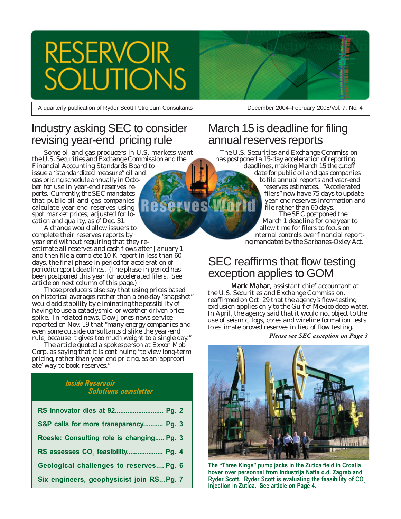# **RESERVOIR JTIONS**

A quarterly publication of Ryder Scott Petroleum Consultants

# Industry asking SEC to consider revising year-end pricing rule

Some oil and gas producers in U.S. markets want the U.S. Securities and Exchange Commission and the Financial Accounting Standards Board to issue a "standardized measure" oil and gas pricing schedule annually in October for use in year-end reserves reports. Currently, the SEC mandates that public oil and gas companies calculate year-end reserves using spot market prices, adjusted for location and quality, as of Dec. 31.

A change would allow issuers to complete their reserves reports by year end without requiring that they re-

estimate all reserves and cash flows after January 1 and then file a complete 10-K report in less than 60 days, the final phase-in period for acceleration of periodic report deadlines. (The phase-in period has been postponed this year for accelerated filers. See article on next column of this page.)

Those producers also say that using prices based on historical averages rather than a one-day "snapshot" would add stability by eliminating the possibility of having to use a cataclysmic- or weather-driven price spike. In related news, Dow Jones news service reported on Nov. 19 that "many energy companies and even some outside consultants dislike the year-end rule, because it gives too much weight to a single day."

The article quoted a spokesperson at Exxon Mobil Corp. as saying that it is continuing "to view long-term pricing, rather than year-end pricing, as an 'appropriate' way to book reserves."

### *Inside Reservoir Solutions newsletter*

| RS innovator dies at 92 Pg. 2                 |
|-----------------------------------------------|
| S&P calls for more transparency Pg. 3         |
| Roesle: Consulting role is changing Pg. 3     |
| RS assesses CO <sub>2</sub> feasibility Pg. 4 |
| Geological challenges to reserves Pg. 6       |
| Six engineers, geophysicist join RS Pg. 7     |



December 2004–February 2005/Vol. 7, No. 4

# March 15 is deadline for filing annual reserves reports

The U.S. Securities and Exchange Commission has postponed a 15-day acceleration of reporting deadlines, making March 15 the cutoff date for public oil and gas companies to file annual reports and year-end reserves estimates. "Accelerated filers" now have 75 days to update year-end reserves information and file rather than 60 days. The SEC postponed the March 1 deadline for one year to allow time for filers to focus on internal controls over financial reporting mandated by the Sarbanes-Oxley Act.

# SEC reaffirms that flow testing exception applies to GOM

Mark Mahar, assistant chief accountant at the U.S. Securities and Exchange Commission, reaffirmed on Oct. 29 that the agency's flow-testing exclusion applies only to the Gulf of Mexico deep water. In April, the agency said that it would not object to the use of seismic, logs, cores and wireline formation tests to estimate proved reserves in lieu of flow testing.

*Please see SEC exception on Page 3*



**The "Three Kings" pump jacks in the Zutica field in Croatia hover over personnel from Industrija Nafte d.d. Zagreb and** Ryder Scott. Ryder Scott is evaluating the feasibility of CO<sub>2</sub> **injection in Zutica. See article on Page 4.**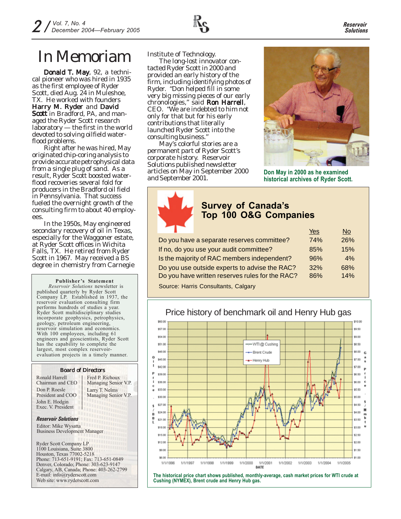

# In Memoriam Institute of Technology.

Donald T. May, 92, a technical pioneer who was hired in 1935 as the first employee of Ryder Scott, died Aug. 24 in Muleshoe, TX. He worked with founders Harry M. Ryder and David Scott in Bradford, PA, and managed the Ryder Scott research laboratory — the first in the world devoted to solving oilfield waterflood problems.

Right after he was hired, May originated chip-coring analysis to provide accurate petrophysical data from a single plug of sand. As a result, Ryder Scott boosted waterflood recoveries several fold for producers in the Bradford oil field in Pennsylvania. That success fueled the overnight growth of the consulting firm to about 40 employees

In the 1950s, May engineered secondary recovery of oil in Texas, especially for the Waggoner estate, at Ryder Scott offices in Wichita Falls, TX. He retired from Ryder Scott in 1967. May received a BS degree in chemistry from Carnegie

**Publisher's Statement** *Reservoir Solutions* newsletter is published quarterly by Ryder Scott Company LP. Established in 1937, the reservoir evaluation consulting firm performs hundreds of studies a year. Ryder Scott multidisciplinary studies incorporate geophysics, petrophysics, geology, petroleum engineering, reservoir simulation and economics. With 100 employees, including 61 engineers and geoscientists, Ryder Scott has the capability to complete the largest, most complex reservoirevaluation projects in a timely manner.

### Board of Directors

Ronald Harrell Chairman and CEO Don P. Roesle President and COO John E. Hodgin Exec. V. President

Larry T. Nelms Managing Senior V.P. Fred P. Richoux Managing Senior V.P.

#### *Reservoir Solutions*

Editor: Mike Wysatta Business Development Manager

Ryder Scott Company LP 1100 Louisiana, Suite 3800 Houston, Texas 77002-5218 Phone: 713-651-9191; Fax: 713-651-0849 Denver, Colorado; Phone: 303-623-9147 Calgary, AB, Canada; Phone: 403-262-2799 E-mail: info@ryderscott.com Web site: www.ryderscott.com

The long-lost innovator contacted Ryder Scott in 2000 and provided an early history of the firm, including identifying photos of Ryder. "Don helped fill in some very big missing pieces of our early chronologies," said Ron Harrell, CEO. "We are indebted to him not only for that but for his early contributions that literally launched Ryder Scott into the consulting business."

May's colorful stories are a permanent part of Ryder Scott's corporate history. *Reservoir Solutions* published newsletter articles on May in September 2000 and September 2001. **Don May in 2000 as he examined**



**historical archives of Ryder Scott.**

### **Survey of Canada's Top 100 O&G Companies**

|                                                 | Yes | No  |
|-------------------------------------------------|-----|-----|
| Do you have a separate reserves committee?      | 74% | 26% |
| If no, do you use your audit committee?         | 85% | 15% |
| Is the majority of RAC members independent?     | 96% | 4%  |
| Do you use outside experts to advise the RAC?   | 32% | 68% |
| Do you have written reserves rules for the RAC? | 86% | 14% |
| Source: Harris Consultants, Calgary             |     |     |

# Price history of benchmark oil and Henry Hub gas



**The historical price chart shows published, monthly-average, cash market prices for WTI crude at Cushing (NYMEX), Brent crude and Henry Hub gas.**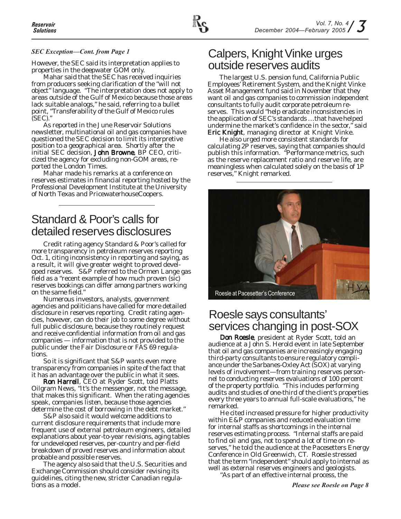### *SEC Exception—Cont. from Page 1*

However, the SEC said its interpretation applies to properties in the deepwater GOM only.

Mahar said that the SEC has received inquiries from producers seeking clarification of the "will not object" language. "The interpretation does not apply to areas outside of the Gulf of Mexico because those areas lack suitable analogs," he said, referring to a bullet point, "Transferability of the Gulf of Mexico rules (SEC)."

As reported in the June *Reservoir Solutions* newsletter, multinational oil and gas companies have questioned the SEC decision to limit its interpretive position to a geographical area. Shortly after the initial SEC decision, John Browne, BP CEO, criticized the agency for excluding non-GOM areas, reported the *London Times*.

Mahar made his remarks at a conference on reserves estimates in financial reporting hosted by the Professional Development Institute at the University of North Texas and PricewaterhouseCoopers.

# Standard & Poor's calls for detailed reserves disclosures

Credit rating agency Standard & Poor's called for more transparency in petroleum reserves reporting Oct. 1, citing inconsistency in reporting and saying, as a result, it will give greater weight to proved developed reserves. S&P referred to the Ormen Lange gas field as a "recent example of how much proven (sic) reserves bookings can differ among partners working on the same field."

Numerous investors, analysts, government agencies and politicians have called for more detailed disclosure in reserves reporting. Credit rating agencies, however, can do their job to some degree without full public disclosure, because they routinely request and receive confidential information from oil and gas companies — information that is not provided to the public under the Fair Disclosure or FAS 69 regulations.

So it is significant that S&P wants even more transparency from companies in spite of the fact that it has an advantage over the public in what it sees.

Ron Harrell, CEO at Ryder Scott, told *Platts Oilgram News*, "It's the messenger, not the message, that makes this significant. When the rating agencies speak, companies listen, because those agencies determine the cost of borrowing in the debt market."

S&P also said it would welcome additions to current disclosure requirements that include more frequent use of external petroleum engineers, detailed explanations about year-to-year revisions, aging tables for undeveloped reserves, per-country and per-field breakdown of proved reserves and information about probable and possible reserves.

The agency also said that the U.S. Securities and Exchange Commission should consider revising its guidelines, citing the new, stricter Canadian regulations as a model.

## Calpers, Knight Vinke urges outside reserves audits

The largest U.S. pension fund, California Public Employees' Retirement System, and the Knight Vinke Asset Management fund said in November that they want oil and gas companies to commission independent consultants to fully audit corporate petroleum reserves. This would "help eradicate inconsistencies in the application of SEC's standards …that have helped undermine the market's confidence in the sector," said **Eric Knight, managing director at Knight Vinke.** 

He also urged more consistent standards for calculating 2P reserves, saying that companies should publish this information. "Performance metrics, such as the reserve replacement ratio and reserve life, are meaningless when calculated solely on the basis of 1P reserves," Knight remarked.



# Roesle says consultants' services changing in post-SOX

Don Roesle, president at Ryder Scott, told an audience at a John S. Herold event in late September that oil and gas companies are increasingly engaging third-party consultants to ensure regulatory compliance under the Sarbanes-Oxley Act (SOX) at varying levels of involvement—from training reserves personnel to conducting reserves evaluations of 100 percent of the property portfolio. "This includes performing audits and studies of one-third of the client's properties every three years to annual full-scale evaluations," he remarked.

He cited increased pressure for higher productivity within E&P companies and reduced evaluation time for internal staffs as shortcomings in the internal reserves estimating process. "Internal staffs are paid to find oil and gas, not to spend a lot of time on reserves," he told the audience at the Pacesetters Energy Conference in Old Greenwich, CT. Roesle stressed that the term "independent" should apply to internal as well as external reserves engineers and geologists.

"As part of an effective internal process, the

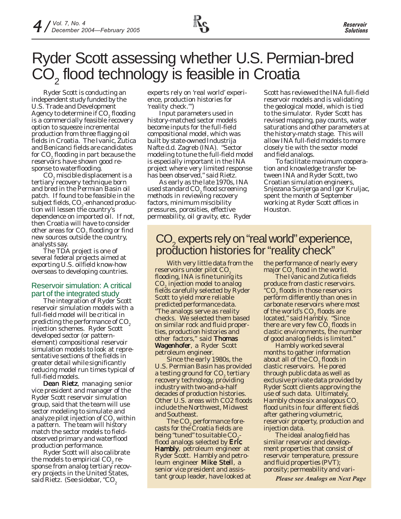

# Ryder Scott assessing whether U.S. Permian-bred  $CO<sub>2</sub>$  flood technology is feasible in Croatia

Ryder Scott is conducting an independent study funded by the U.S. Trade and Development Agency to determine if  $CO<sub>2</sub>$  flooding is a commercially feasible recovery option to squeeze incremental production from three flagging oil fields in Croatia. The Ivanic, Zutica and Benicanci fields are candidates for CO $_{\textrm{\tiny{2}}}$ flooding in part because the reservoirs have shown good response to waterflooding.

 $\mathrm{CO}_2^{}$  miscible displacement is a tertiary recovery technique born and bred in the Permian Basin oil patch. If found to be feasible in the subject fields, CO<sub>2</sub>-enhanced production will lessen the country's dependence on imported oil. If not, then Croatia will have to consider other areas for CO $_{\textrm{\tiny{2}}}$  flooding or find new sources outside the country, analysts say.

The TDA project is one of several federal projects aimed at exporting U.S. oilfield know-how overseas to developing countries.

### Reservoir simulation: A critical part of the integrated study

The integration of Ryder Scott reservoir simulation models with a full-field model will be critical in predicting the performance of CO<sub>2</sub> injection schemes. Ryder Scott developed sector (or patternelement) compositional reservoir simulation models to look at representative sections of the fields in greater detail while significantly reducing model run times typical of full-field models.

Dean Rietz, managing senior vice president and manager of the Ryder Scott reservoir simulation group, said that the team will use sector modeling to simulate and analyze pilot injection of  $CO<sub>2</sub>$  within a pattern. The team will history match the sector models to fieldobserved primary and waterflood production performance.

Ryder Scott will also calibrate the models to empirical  $\mathrm{CO}_2$  response from analog tertiary recovery projects in the United States, said Rietz. (See sidebar, "CO<sub>2</sub>

experts rely on 'real world' experience, production histories for 'reality check.'")

Input parameters used in history-matched sector models become inputs for the full-field compositional model, which was built by state-owned Industrija Nafte d.d. Zagreb (INA). "Sector modeling to tune the full-field model is especially important in the INA project where very limited response has been observed," said Rietz.

As early as the late 1970s, INA used standard CO $_{2}$ flood screening methods in reviewing recovery factors, minimum miscibility pressures, porosities, effective permeability, oil gravity, etc. Ryder Scott has reviewed the INA full-field reservoir models and is validating the geological model, which is tied to the simulator. Ryder Scott has revised mapping, pay counts, water saturations and other parameters at the history-match stage. This will allow INA full-field models to more closely tie with the sector model and field analogs.

To facilitate maximum cooperation and knowledge transfer between INA and Ryder Scott, two Croatian simulation engineers, Snjezana Sunjerga and Igor Kruljac, spent the month of September working at Ryder Scott offices in Houston.

# CO<sub>2</sub> experts rely on "real world" experience, production histories for "reality check"

With very little data from the reservoirs under pilot CO<sub>2</sub> flooding, INA is fine tuning its CO<sub>2</sub> injection model to analog fields carefully selected by Ryder Scott to yield more reliable predicted performance data. "The analogs serve as reality checks. We selected them based on similar rock and fluid properties, production histories and other factors," said Thomas Wagenhofer, a Ryder Scott petroleum engineer.

Since the early 1980s, the U.S. Permian Basin has provided a testing ground for  $\mathsf{CO}_2$  tertiary recovery technology, providing industry with two-and-a-half decades of production histories. Other U.S. areas with CO2 floods include the Northwest, Midwest and Southeast.

The  $CO<sub>2</sub>$  performance forecasts for the Croatia fields are being "tuned" to suitable CO. flood analogs selected by Eric Hambly, petroleum engineer at Ryder Scott. Hambly and petroleum engineer **Mike Stell**, a senior vice president and assistant group leader, have looked at the performance of nearly every major  $CO<sub>2</sub>$  flood in the world.

The Ivanic and Zutica fields produce from clastic reservoirs. "CO<sub>2</sub> floods in those reservoirs perform differently than ones in carbonate reservoirs where most of the world's  $CO<sub>2</sub>$  floods are located," said Hambly. "Since there are very few  $CO_{2}$  floods in clastic environments, the number of good analog fields is limited."

Hambly worked several months to gather information about all of the  $\mathsf{CO}_2^{}$  floods in clastic reservoirs. He pored through public data as well as exclusive private data provided by Ryder Scott clients approving the use of such data. Ultimately, Hambly chose six analogous CO2 flood units in four different fields after gathering volumetric, reservoir property, production and injection data.

The ideal analog field has similar reservoir and development properties that consist of reservoir temperature, pressure and fluid properties (PVT); porosity; permeability and vari-

*Please see Analogs on Next Page*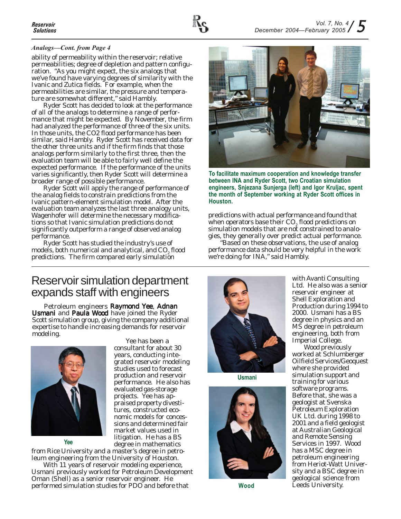### *Analogs—Cont. from Page 4*

ability of permeability within the reservoir; relative permeabilities; degree of depletion and pattern configuration. "As you might expect, the six analogs that we've found have varying degrees of similarity with the Ivanic and Zutica fields. For example, when the permeabilities are similar, the pressure and temperature are somewhat different," said Hambly.

Ryder Scott has decided to look at the performance of all of the analogs to determine a range of performance that might be expected. By November, the firm had analyzed the performance of three of the six units. In those units, the CO2 flood performance has been similar, said Hambly. Ryder Scott has received data for the other three units and if the firm finds that those analogs perform similarly to the first three, then the evaluation team will be able to fairly well define the expected performance. If the performance of the units varies significantly, then Ryder Scott will determine a broader range of possible performance.

Ryder Scott will apply the range of performance of the analog fields to constrain predictions from the Ivanic pattern-element simulation model. After the evaluation team analyzes the last three analogy units, Wagenhofer will determine the necessary modifications so that Ivanic simulation predictions do not significantly outperform a range of observed analog performance.

Ryder Scott has studied the industry's use of models, both numerical and analytical, and  $CO<sub>2</sub>$  flood predictions. The firm compared early simulation

## Reservoir simulation department expands staff with engineers

Petroleum engineers Raymond Yee, Adnan Usmani and Paula Wood have joined the Ryder Scott simulation group, giving the company additional expertise to handle increasing demands for reservoir modeling.



**Yee**

Yee has been a consultant for about 30 years, conducting integrated reservoir modeling studies used to forecast production and reservoir performance. He also has evaluated gas-storage projects. Yee has appraised property divestitures, constructed economic models for concessions and determined fair market values used in litigation. He has a BS degree in mathematics

from Rice University and a master's degree in petroleum engineering from the University of Houston. With 11 years of reservoir modeling experience,

Usmani previously worked for Petroleum Development Oman (Shell) as a senior reservoir engineer. He performed simulation studies for PDO and before that



**To facilitate maximum cooperation and knowledge transfer between INA and Ryder Scott, two Croatian simulation engineers, Snjezana Sunjerga (left) and Igor Kruljac, spent the month of September working at Ryder Scott offices in Houston.**

predictions with actual performance and found that when operators base their CO<sub>2</sub> flood predictions on simulation models that are not constrained to analogies, they generally over predict actual performance.

"Based on these observations, the use of analog performance data should be very helpful in the work we're doing for INA," said Hambly.



**Usmani**



**Wood**

with Avanti Consulting Ltd. He also was a senior reservoir engineer at Shell Exploration and Production during 1994 to 2000. Usmani has a BS degree in physics and an MS degree in petroleum engineering, both from Imperial College.

Wood previously worked at Schlumberger Oilfield Services/Geoquest where she provided simulation support and training for various software programs. Before that, she was a geologist at Svenska Petroleum Exploration UK Ltd. during 1998 to 2001 and a field geologist at Australian Geological and Remote Sensing Services in 1997. Wood has a MSC degree in petroleum engineering from Heriot-Watt University and a BSC degree in geological science from Leeds University.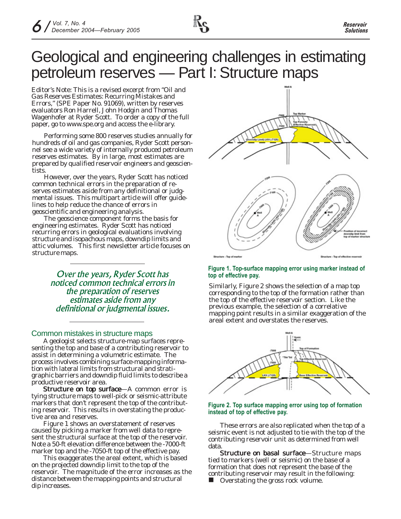

*Editor's Note: This is a revised excerpt from "Oil and Gas Reserves Estimates: Recurring Mistakes and Errors," (SPE Paper No. 91069), written by reserves evaluators Ron Harrell, John Hodgin and Thomas Wagenhofer at Ryder Scott. To order a copy of the full paper, go to www.spe.org and access the e-library.*

Performing some 800 reserves studies annually for hundreds of oil and gas companies, Ryder Scott personnel see a wide variety of internally produced petroleum reserves estimates. By in large, most estimates are prepared by qualified reservoir engineers and geoscientists.

However, over the years, Ryder Scott has noticed common technical errors in the preparation of reserves estimates aside from any definitional or judgmental issues. This multipart article will offer guidelines to help reduce the chance of errors in geoscientific and engineering analysis.

The geoscience component forms the basis for engineering estimates. Ryder Scott has noticed recurring errors in geological evaluations involving structure and isopachous maps, downdip limits and attic volumes. This first newsletter article focuses on structure maps.

> *Over the years, Ryder Scott has noticed common technical errors in the preparation of reserves estimates aside from any definitional or judgmental issues.*

### Common mistakes in structure maps

A geologist selects structure-map surfaces representing the top and base of a contributing reservoir to assist in determining a volumetric estimate. The process involves combining surface-mapping information with lateral limits from structural and stratigraphic barriers and downdip fluid limits to describe a productive reservoir area.

Structure on top surface-A common error is tying structure maps to well-pick or seismic-attribute markers that don't represent the top of the contributing reservoir. This results in overstating the productive area and reserves.

Figure 1 shows an overstatement of reserves caused by picking a marker from well data to represent the structural surface at the top of the reservoir. Note a 50-ft elevation difference between the -7000-ft marker top and the -7050-ft top of the effective pay.

This exaggerates the areal extent, which is based on the projected downdip limit to the top of the reservoir. The magnitude of the error increases as the distance between the mapping points and structural dip increases.



#### **Figure 1. Top-surface mapping error using marker instead of top of effective pay.**

Similarly, Figure 2 shows the selection of a map top corresponding to the top of the formation rather than the top of the effective reservoir section. Like the previous example, the selection of a correlative mapping point results in a similar exaggeration of the areal extent and overstates the reserves.



#### **Figure 2. Top surface mapping error using top of formation instead of top of effective pay.**

These errors are also replicated when the top of a seismic event is not adjusted to tie with the top of the contributing reservoir unit as determined from well data.

Structure on basal surface—Structure maps tied to markers (well or seismic) on the base of a formation that does not represent the base of the contributing reservoir may result in the following: ■ Overstating the gross rock volume.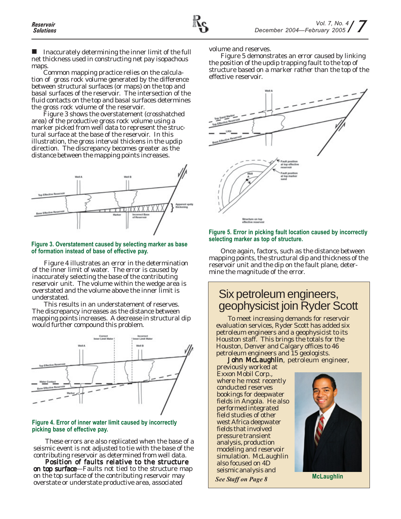Inaccurately determining the inner limit of the full net thickness used in constructing net pay isopachous maps.

Common mapping practice relies on the calculation of gross rock volume generated by the difference between structural surfaces (or maps) on the top and basal surfaces of the reservoir. The intersection of the fluid contacts on the top and basal surfaces determines the gross rock volume of the reservoir.

Figure 3 shows the overstatement (crosshatched area) of the productive gross rock volume using a marker picked from well data to represent the structural surface at the base of the reservoir. In this illustration, the gross interval thickens in the updip direction. The discrepancy becomes greater as the distance between the mapping points increases.



### **Figure 3. Overstatement caused by selecting marker as base of formation instead of base of effective pay.**

Figure 4 illustrates an error in the determination of the inner limit of water. The error is caused by inaccurately selecting the base of the contributing reservoir unit. The volume within the wedge area is overstated and the volume above the inner limit is understated.

This results in an understatement of reserves. The discrepancy increases as the distance between mapping points increases. A decrease in structural dip would further compound this problem.



### **Figure 4. Error of inner water limit caused by incorrectly picking base of effective pay.**

These errors are also replicated when the base of a seismic event is not adjusted to tie with the base of the contributing reservoir as determined from well data.

Position of faults relative to the structure on top surface—Faults not tied to the structure map on the top surface of the contributing reservoir may overstate or understate productive area, associated

volume and reserves.

Figure 5 demonstrates an error caused by linking the position of the updip trapping fault to the top of structure based on a marker rather than the top of the effective reservoir.



### **Figure 5. Error in picking fault location caused by incorrectly selecting marker as top of structure.**

Once again, factors, such as the distance between mapping points, the structural dip and thickness of the reservoir unit and the dip on the fault plane, determine the magnitude of the error.

# Six petroleum engineers, geophysicist join Ryder Scott

To meet increasing demands for reservoir evaluation services, Ryder Scott has added six petroleum engineers and a geophysicist to its Houston staff. This brings the totals for the Houston, Denver and Calgary offices to 46 petroleum engineers and 15 geologists.

John McLaughlin, petroleum engineer,

previously worked at Exxon Mobil Corp., where he most recently conducted reserves bookings for deepwater fields in Angola. He also performed integrated field studies of other west Africa deepwater fields that involved pressure transient analysis, production modeling and reservoir simulation. McLaughlin also focused on 4D seismic analysis and

*See Staff on Page 8* **McLaughlin**